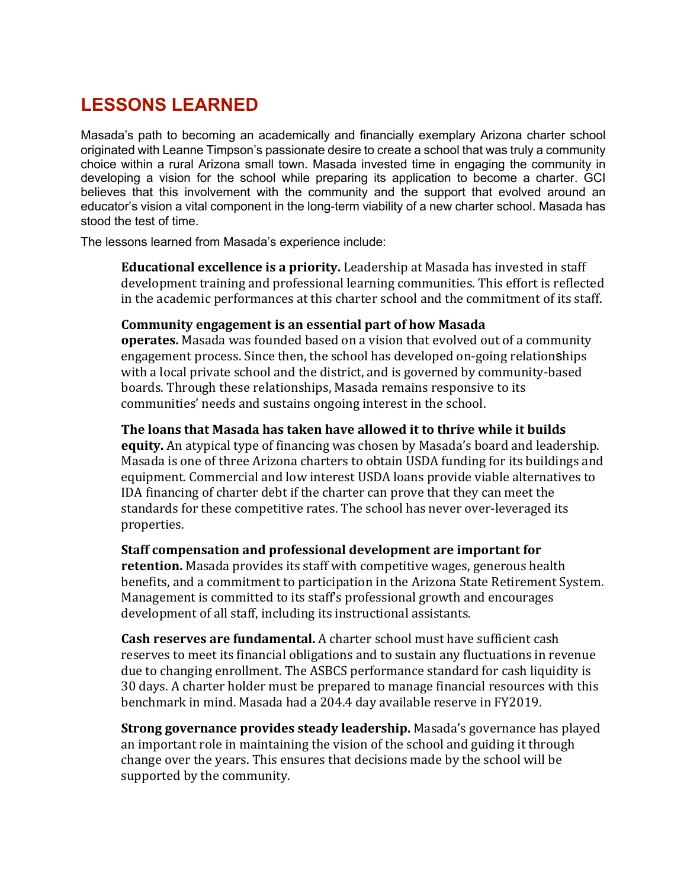## **LESSONS LEARNED**

Masada's path to becoming an academically and financially exemplary Arizona charter school originated with Leanne Timpson's passionate desire to create a school that was truly a community choice within a rural Arizona small town. Masada invested time in engaging the community in developing a vision for the school while preparing its application to become a charter. GCI believes that this involvement with the community and the support that evolved around an educator's vision a vital component in the long-term viability of a new charter school. Masada has stood the test of time.

The lessons learned from Masada's experience include:

**Educational excellence is a priority.** Leadership at Masada has invested in staff development training and professional learning communities. This effort is reflected in the academic performances at this charter school and the commitment of its staff.

## **Community engagement is an essential part of how Masada**

**operates.** Masada was founded based on a vision that evolved out of a community engagement process. Since then, the school has developed on-going relationships with a local private school and the district, and is governed by community-based boards. Through these relationships, Masada remains responsive to its communities' needs and sustains ongoing interest in the school.

## **The loans that Masada has taken have allowed it to thrive while it builds**

**equity.** An atypical type of financing was chosen by Masada's board and leadership. Masada is one of three Arizona charters to obtain USDA funding for its buildings and equipment. Commercial and low interest USDA loans provide viable alternatives to IDA financing of charter debt if the charter can prove that they can meet the standards for these competitive rates. The school has never over-leveraged its properties.

**Staff compensation and professional development are important for retention.** Masada provides its staff with competitive wages, generous health benefits, and a commitment to participation in the Arizona State Retirement System. Management is committed to its staff's professional growth and encourages development of all staff, including its instructional assistants.

**Cash reserves are fundamental.** A charter school must have sufficient cash reserves to meet its financial obligations and to sustain any fluctuations in revenue due to changing enrollment. The ASBCS performance standard for cash liquidity is 30 days. A charter holder must be prepared to manage financial resources with this benchmark in mind. Masada had a 204.4 day available reserve in FY2019.

**Strong governance provides steady leadership.** Masada's governance has played an important role in maintaining the vision of the school and guiding it through change over the years. This ensures that decisions made by the school will be supported by the community.